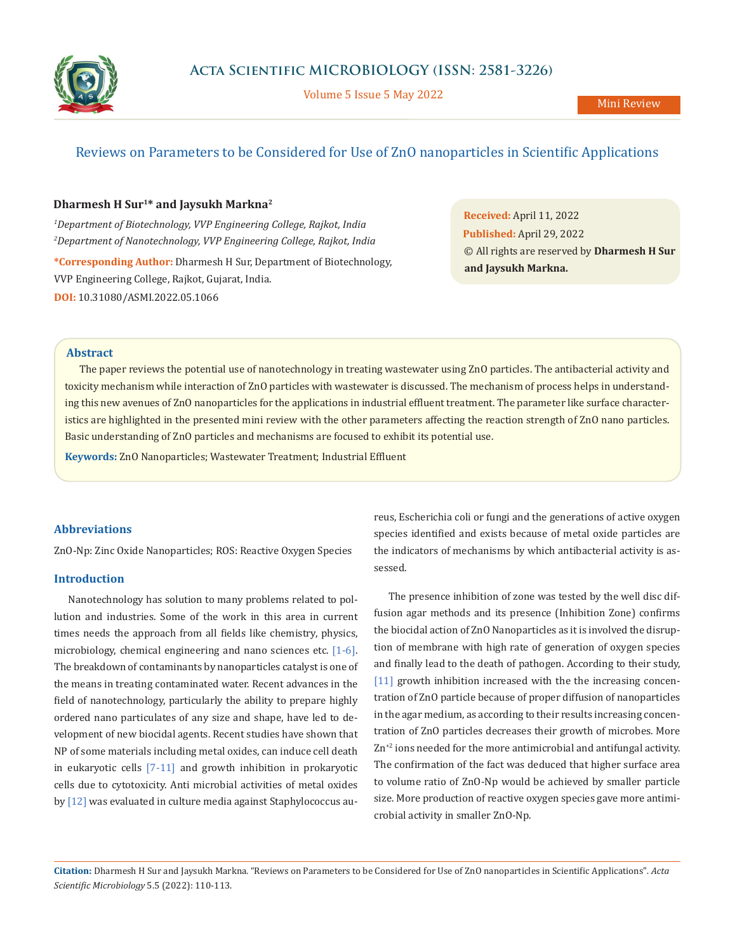

Volume 5 Issue 5 May 2022

# Reviews on Parameters to be Considered for Use of ZnO nanoparticles in Scientific Applications

### **Dharmesh H Sur1\* and Jaysukh Markna2**

*1 Department of Biotechnology, VVP Engineering College, Rajkot, India 2 Department of Nanotechnology, VVP Engineering College, Rajkot, India* **\*Corresponding Author:** Dharmesh H Sur, Department of Biotechnology, VVP Engineering College, Rajkot, Gujarat, India. **DOI:** [10.31080/ASMI.2022.05.1066](https://actascientific.com/ASMI/pdf/ASMI-05-1066.pdf)

**Received:** April 11, 2022 **Published:** April 29, 2022 © All rights are reserved by **Dharmesh H Sur and Jaysukh Markna.**

#### **Abstract**

The paper reviews the potential use of nanotechnology in treating wastewater using ZnO particles. The antibacterial activity and toxicity mechanism while interaction of ZnO particles with wastewater is discussed. The mechanism of process helps in understanding this new avenues of ZnO nanoparticles for the applications in industrial effluent treatment. The parameter like surface characteristics are highlighted in the presented mini review with the other parameters affecting the reaction strength of ZnO nano particles. Basic understanding of ZnO particles and mechanisms are focused to exhibit its potential use.

**Keywords:** ZnO Nanoparticles; Wastewater Treatment; Industrial Effluent

#### **Abbreviations**

ZnO-Np: Zinc Oxide Nanoparticles; ROS: Reactive Oxygen Species

#### **Introduction**

Nanotechnology has solution to many problems related to pollution and industries. Some of the work in this area in current times needs the approach from all fields like chemistry, physics, microbiology, chemical engineering and nano sciences etc. [1-6]. The breakdown of contaminants by nanoparticles catalyst is one of the means in treating contaminated water. Recent advances in the field of nanotechnology, particularly the ability to prepare highly ordered nano particulates of any size and shape, have led to development of new biocidal agents. Recent studies have shown that NP of some materials including metal oxides, can induce cell death in eukaryotic cells [7-11] and growth inhibition in prokaryotic cells due to cytotoxicity. Anti microbial activities of metal oxides by [12] was evaluated in culture media against Staphylococcus aureus, Escherichia coli or fungi and the generations of active oxygen species identified and exists because of metal oxide particles are the indicators of mechanisms by which antibacterial activity is assessed.

The presence inhibition of zone was tested by the well disc diffusion agar methods and its presence (Inhibition Zone) confirms the biocidal action of ZnO Nanoparticles as it is involved the disruption of membrane with high rate of generation of oxygen species and finally lead to the death of pathogen. According to their study, [11] growth inhibition increased with the the increasing concentration of ZnO particle because of proper diffusion of nanoparticles in the agar medium, as according to their results increasing concentration of ZnO particles decreases their growth of microbes. More Zn<sup>+2</sup> ions needed for the more antimicrobial and antifungal activity. The confirmation of the fact was deduced that higher surface area to volume ratio of ZnO-Np would be achieved by smaller particle size. More production of reactive oxygen species gave more antimicrobial activity in smaller ZnO-Np.

**Citation:** Dharmesh H Sur and Jaysukh Markna*.* "Reviews on Parameters to be Considered for Use of ZnO nanoparticles in Scientific Applications". *Acta Scientific Microbiology* 5.5 (2022): 110-113.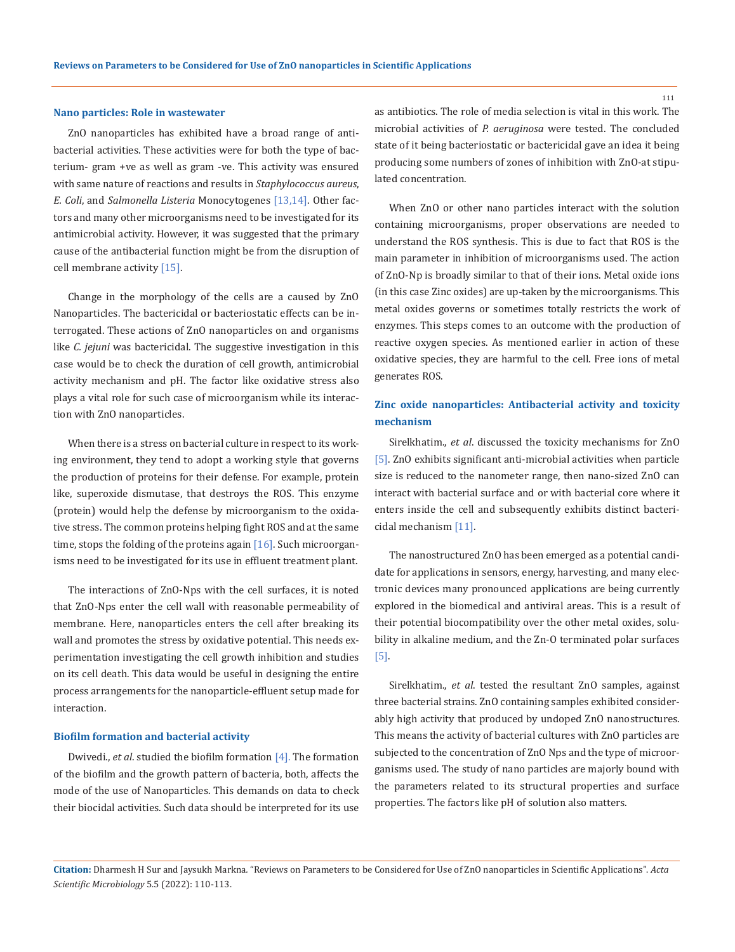#### **Nano particles: Role in wastewater**

ZnO nanoparticles has exhibited have a broad range of antibacterial activities. These activities were for both the type of bacterium- gram +ve as well as gram -ve. This activity was ensured with same nature of reactions and results in *Staphylococcus aureus*, *E. Coli*, and *Salmonella Listeria* Monocytogenes [13,14]. Other factors and many other microorganisms need to be investigated for its antimicrobial activity. However, it was suggested that the primary cause of the antibacterial function might be from the disruption of cell membrane activity [15].

Change in the morphology of the cells are a caused by ZnO Nanoparticles. The bactericidal or bacteriostatic effects can be interrogated. These actions of ZnO nanoparticles on and organisms like *C. jejuni* was bactericidal. The suggestive investigation in this case would be to check the duration of cell growth, antimicrobial activity mechanism and pH. The factor like oxidative stress also plays a vital role for such case of microorganism while its interaction with ZnO nanoparticles.

When there is a stress on bacterial culture in respect to its working environment, they tend to adopt a working style that governs the production of proteins for their defense. For example, protein like, superoxide dismutase, that destroys the ROS. This enzyme (protein) would help the defense by microorganism to the oxidative stress. The common proteins helping fight ROS and at the same time, stops the folding of the proteins again  $[16]$ . Such microorganisms need to be investigated for its use in effluent treatment plant.

The interactions of ZnO-Nps with the cell surfaces, it is noted that ZnO-Nps enter the cell wall with reasonable permeability of membrane. Here, nanoparticles enters the cell after breaking its wall and promotes the stress by oxidative potential. This needs experimentation investigating the cell growth inhibition and studies on its cell death. This data would be useful in designing the entire process arrangements for the nanoparticle-effluent setup made for interaction.

#### **Biofilm formation and bacterial activity**

Dwivedi., *et al*. studied the biofilm formation [4]. The formation of the biofilm and the growth pattern of bacteria, both, affects the mode of the use of Nanoparticles. This demands on data to check their biocidal activities. Such data should be interpreted for its use as antibiotics. The role of media selection is vital in this work. The microbial activities of *P. aeruginosa* were tested. The concluded state of it being bacteriostatic or bactericidal gave an idea it being producing some numbers of zones of inhibition with ZnO-at stipulated concentration.

When ZnO or other nano particles interact with the solution containing microorganisms, proper observations are needed to understand the ROS synthesis. This is due to fact that ROS is the main parameter in inhibition of microorganisms used. The action of ZnO-Np is broadly similar to that of their ions. Metal oxide ions (in this case Zinc oxides) are up-taken by the microorganisms. This metal oxides governs or sometimes totally restricts the work of enzymes. This steps comes to an outcome with the production of reactive oxygen species. As mentioned earlier in action of these oxidative species, they are harmful to the cell. Free ions of metal generates ROS.

## **Zinc oxide nanoparticles: Antibacterial activity and toxicity mechanism**

Sirelkhatim., *et al*. discussed the toxicity mechanisms for ZnO [5]. ZnO exhibits significant anti-microbial activities when particle size is reduced to the nanometer range, then nano-sized ZnO can interact with bacterial surface and or with bacterial core where it enters inside the cell and subsequently exhibits distinct bactericidal mechanism [11].

The nanostructured ZnO has been emerged as a potential candidate for applications in sensors, energy, harvesting, and many electronic devices many pronounced applications are being currently explored in the biomedical and antiviral areas. This is a result of their potential biocompatibility over the other metal oxides, solubility in alkaline medium, and the Zn-O terminated polar surfaces [5].

Sirelkhatim., *et al*. tested the resultant ZnO samples, against three bacterial strains. ZnO containing samples exhibited considerably high activity that produced by undoped ZnO nanostructures. This means the activity of bacterial cultures with ZnO particles are subjected to the concentration of ZnO Nps and the type of microorganisms used. The study of nano particles are majorly bound with the parameters related to its structural properties and surface properties. The factors like pH of solution also matters.

**Citation:** Dharmesh H Sur and Jaysukh Markna*.* "Reviews on Parameters to be Considered for Use of ZnO nanoparticles in Scientific Applications". *Acta Scientific Microbiology* 5.5 (2022): 110-113.

111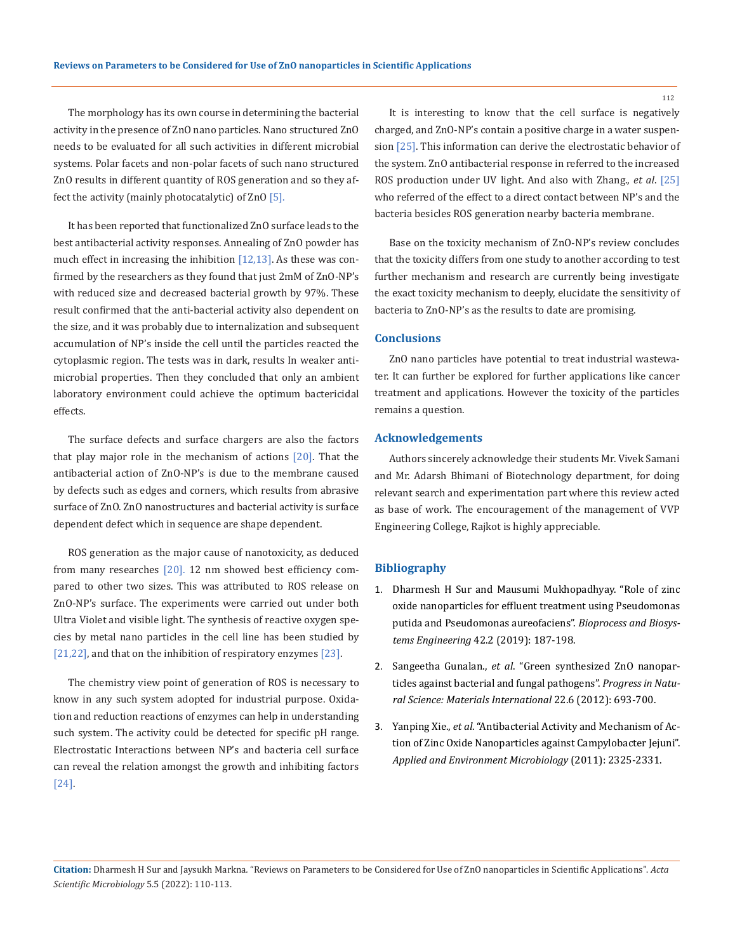The morphology has its own course in determining the bacterial activity in the presence of ZnO nano particles. Nano structured ZnO needs to be evaluated for all such activities in different microbial systems. Polar facets and non-polar facets of such nano structured ZnO results in different quantity of ROS generation and so they affect the activity (mainly photocatalytic) of ZnO [5].

It has been reported that functionalized ZnO surface leads to the best antibacterial activity responses. Annealing of ZnO powder has much effect in increasing the inhibition  $[12,13]$ . As these was confirmed by the researchers as they found that just 2mM of ZnO-NP's with reduced size and decreased bacterial growth by 97%. These result confirmed that the anti-bacterial activity also dependent on the size, and it was probably due to internalization and subsequent accumulation of NP's inside the cell until the particles reacted the cytoplasmic region. The tests was in dark, results In weaker antimicrobial properties. Then they concluded that only an ambient laboratory environment could achieve the optimum bactericidal effects.

The surface defects and surface chargers are also the factors that play major role in the mechanism of actions  $[20]$ . That the antibacterial action of ZnO-NP's is due to the membrane caused by defects such as edges and corners, which results from abrasive surface of ZnO. ZnO nanostructures and bacterial activity is surface dependent defect which in sequence are shape dependent.

ROS generation as the major cause of nanotoxicity, as deduced from many researches [20]. 12 nm showed best efficiency compared to other two sizes. This was attributed to ROS release on ZnO-NP's surface. The experiments were carried out under both Ultra Violet and visible light. The synthesis of reactive oxygen species by metal nano particles in the cell line has been studied by [21,22], and that on the inhibition of respiratory enzymes [23].

The chemistry view point of generation of ROS is necessary to know in any such system adopted for industrial purpose. Oxidation and reduction reactions of enzymes can help in understanding such system. The activity could be detected for specific pH range. Electrostatic Interactions between NP's and bacteria cell surface can reveal the relation amongst the growth and inhibiting factors [24].

It is interesting to know that the cell surface is negatively charged, and ZnO-NP's contain a positive charge in a water suspension [25]. This information can derive the electrostatic behavior of the system. ZnO antibacterial response in referred to the increased ROS production under UV light. And also with Zhang., *et al*. [25] who referred of the effect to a direct contact between NP's and the bacteria besicles ROS generation nearby bacteria membrane.

Base on the toxicity mechanism of ZnO-NP's review concludes that the toxicity differs from one study to another according to test further mechanism and research are currently being investigate the exact toxicity mechanism to deeply, elucidate the sensitivity of bacteria to ZnO-NP's as the results to date are promising.

### **Conclusions**

ZnO nano particles have potential to treat industrial wastewater. It can further be explored for further applications like cancer treatment and applications. However the toxicity of the particles remains a question.

### **Acknowledgements**

Authors sincerely acknowledge their students Mr. Vivek Samani and Mr. Adarsh Bhimani of Biotechnology department, for doing relevant search and experimentation part where this review acted as base of work. The encouragement of the management of VVP Engineering College, Rajkot is highly appreciable.

#### **Bibliography**

- 1. [Dharmesh H Sur and Mausumi Mukhopadhyay. "Role of zinc](https://doi.org/10.1007/s00449-018-2024-y) [oxide nanoparticles for effluent treatment using Pseudomonas](https://doi.org/10.1007/s00449-018-2024-y) [putida and Pseudomonas aureofaciens".](https://doi.org/10.1007/s00449-018-2024-y) *Bioprocess and Biosystems Engineering* [42.2 \(2019\): 187-198.](https://doi.org/10.1007/s00449-018-2024-y)
- 2. Sangeetha Gunalan., *et al*[. "Green synthesized ZnO nanopar](https://www.sciencedirect.com/science/article/pii/S1002007112001426)[ticles against bacterial and fungal pathogens".](https://www.sciencedirect.com/science/article/pii/S1002007112001426) *Progress in Natu[ral Science: Materials International](https://www.sciencedirect.com/science/article/pii/S1002007112001426)* 22.6 (2012): 693-700.
- 3. Yanping Xie., *et al*[. "Antibacterial Activity and Mechanism of Ac](https://pubmed.ncbi.nlm.nih.gov/21296935/)[tion of Zinc Oxide Nanoparticles against Campylobacter Jejuni".](https://pubmed.ncbi.nlm.nih.gov/21296935/)  *[Applied and Environment Microbiology](https://pubmed.ncbi.nlm.nih.gov/21296935/)* (2011): 2325-2331.

**Citation:** Dharmesh H Sur and Jaysukh Markna*.* "Reviews on Parameters to be Considered for Use of ZnO nanoparticles in Scientific Applications". *Acta Scientific Microbiology* 5.5 (2022): 110-113.

112